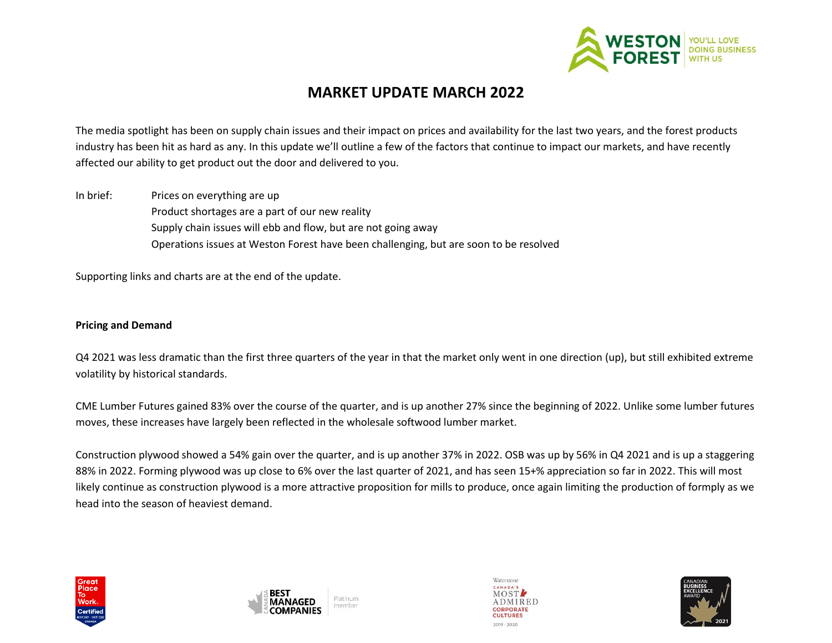

## **MARKET UPDATE MARCH 2022**

The media spotlight has been on supply chain issues and their impact on prices and availability for the last two years, and the forest products industry has been hit as hard as any. In this update we'll outline a few of the factors that continue to impact our markets, and have recently affected our ability to get product out the door and delivered to you.

In brief: Prices on everything are up Product shortages are a part of our new reality Supply chain issues will ebb and flow, but are not going away Operations issues at Weston Forest have been challenging, but are soon to be resolved

Supporting links and charts are at the end of the update.

#### **Pricing and Demand**

Q4 2021 was less dramatic than the first three quarters of the year in that the market only went in one direction (up), but still exhibited extreme volatility by historical standards.

CME Lumber Futures gained 83% over the course of the quarter, and is up another 27% since the beginning of 2022. Unlike some lumber futures moves, these increases have largely been reflected in the wholesale softwood lumber market.

Construction plywood showed a 54% gain over the quarter, and is up another 37% in 2022. OSB was up by 56% in Q4 2021 and is up a staggering 88% in 2022. Forming plywood was up close to 6% over the last quarter of 2021, and has seen 15+% appreciation so far in 2022. This will most likely continue as construction plywood is a more attractive proposition for mills to produce, once again limiting the production of formply as we head into the season of heaviest demand.







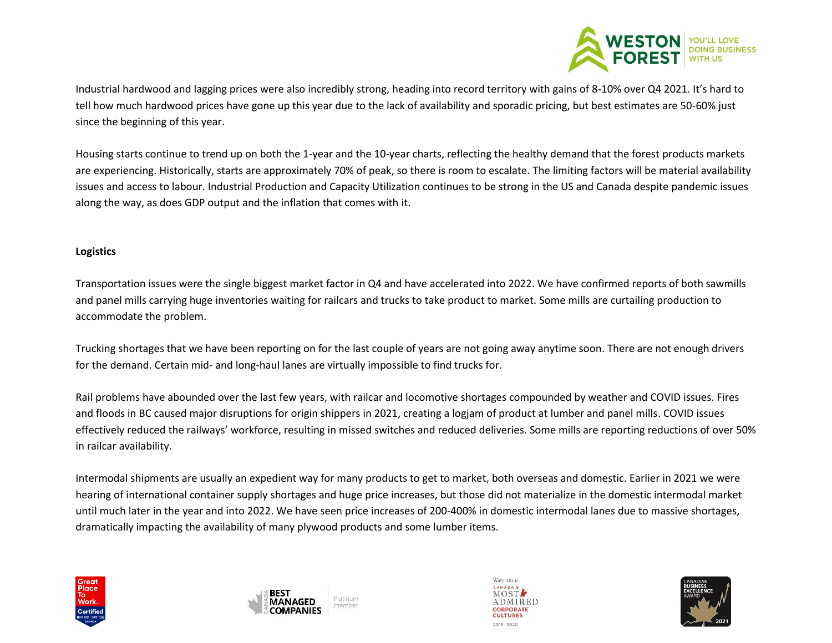

Industrial hardwood and lagging prices were also incredibly strong, heading into record territory with gains of 8-10% over Q4 2021. It's hard to tell how much hardwood prices have gone up this year due to the lack of availability and sporadic pricing, but best estimates are 50-60% just since the beginning of this year.

Housing starts continue to trend up on both the 1-year and the 10-year charts, reflecting the healthy demand that the forest products markets are experiencing. Historically, starts are approximately 70% of peak, so there is room to escalate. The limiting factors will be material availability issues and access to labour. Industrial Production and Capacity Utilization continues to be strong in the US and Canada despite pandemic issues along the way, as does GDP output and the inflation that comes with it.

#### **Logistics**

Transportation issues were the single biggest market factor in Q4 and have accelerated into 2022. We have confirmed reports of both sawmills and panel mills carrying huge inventories waiting for railcars and trucks to take product to market. Some mills are curtailing production to accommodate the problem.

Trucking shortages that we have been reporting on for the last couple of years are not going away anytime soon. There are not enough drivers for the demand. Certain mid- and long-haul lanes are virtually impossible to find trucks for.

Rail problems have abounded over the last few years, with railcar and locomotive shortages compounded by weather and COVID issues. Fires and floods in BC caused major disruptions for origin shippers in 2021, creating a logjam of product at lumber and panel mills. COVID issues effectively reduced the railways' workforce, resulting in missed switches and reduced deliveries. Some mills are reporting reductions of over 50% in railcar availability.

Intermodal shipments are usually an expedient way for many products to get to market, both overseas and domestic. Earlier in 2021 we were hearing of international container supply shortages and huge price increases, but those did not materialize in the domestic intermodal market until much later in the year and into 2022. We have seen price increases of 200-400% in domestic intermodal lanes due to massive shortages, dramatically impacting the availability of many plywood products and some lumber items.







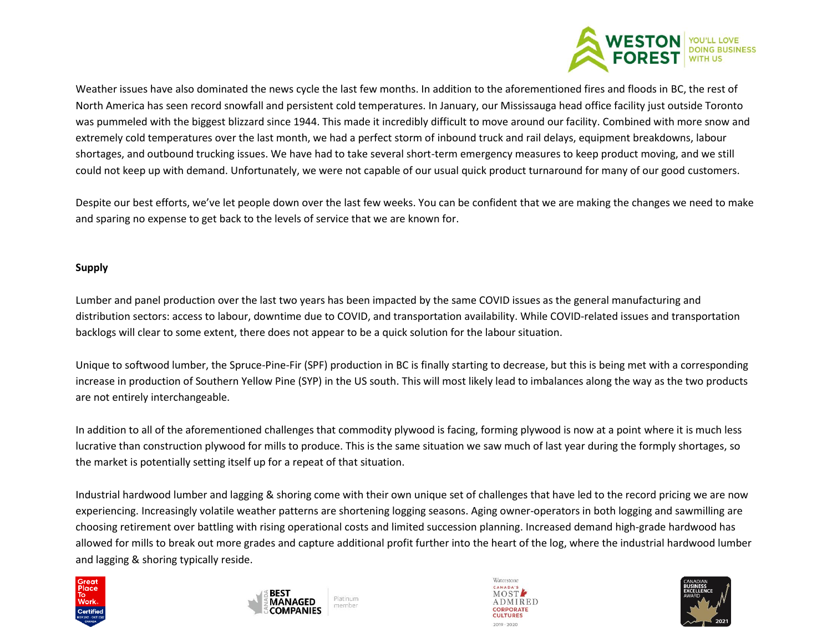

Weather issues have also dominated the news cycle the last few months. In addition to the aforementioned fires and floods in BC, the rest of North America has seen record snowfall and persistent cold temperatures. In January, our Mississauga head office facility just outside Toronto was pummeled with the biggest blizzard since 1944. This made it incredibly difficult to move around our facility. Combined with more snow and extremely cold temperatures over the last month, we had a perfect storm of inbound truck and rail delays, equipment breakdowns, labour shortages, and outbound trucking issues. We have had to take several short-term emergency measures to keep product moving, and we still could not keep up with demand. Unfortunately, we were not capable of our usual quick product turnaround for many of our good customers.

Despite our best efforts, we've let people down over the last few weeks. You can be confident that we are making the changes we need to make and sparing no expense to get back to the levels of service that we are known for.

#### **Supply**

Lumber and panel production over the last two years has been impacted by the same COVID issues as the general manufacturing and distribution sectors: access to labour, downtime due to COVID, and transportation availability. While COVID-related issues and transportation backlogs will clear to some extent, there does not appear to be a quick solution for the labour situation.

Unique to softwood lumber, the Spruce-Pine-Fir (SPF) production in BC is finally starting to decrease, but this is being met with a corresponding increase in production of Southern Yellow Pine (SYP) in the US south. This will most likely lead to imbalances along the way as the two products are not entirely interchangeable.

In addition to all of the aforementioned challenges that commodity plywood is facing, forming plywood is now at a point where it is much less lucrative than construction plywood for mills to produce. This is the same situation we saw much of last year during the formply shortages, so the market is potentially setting itself up for a repeat of that situation.

Industrial hardwood lumber and lagging & shoring come with their own unique set of challenges that have led to the record pricing we are now experiencing. Increasingly volatile weather patterns are shortening logging seasons. Aging owner-operators in both logging and sawmilling are choosing retirement over battling with rising operational costs and limited succession planning. Increased demand high-grade hardwood has allowed for mills to break out more grades and capture additional profit further into the heart of the log, where the industrial hardwood lumber and lagging & shoring typically reside.







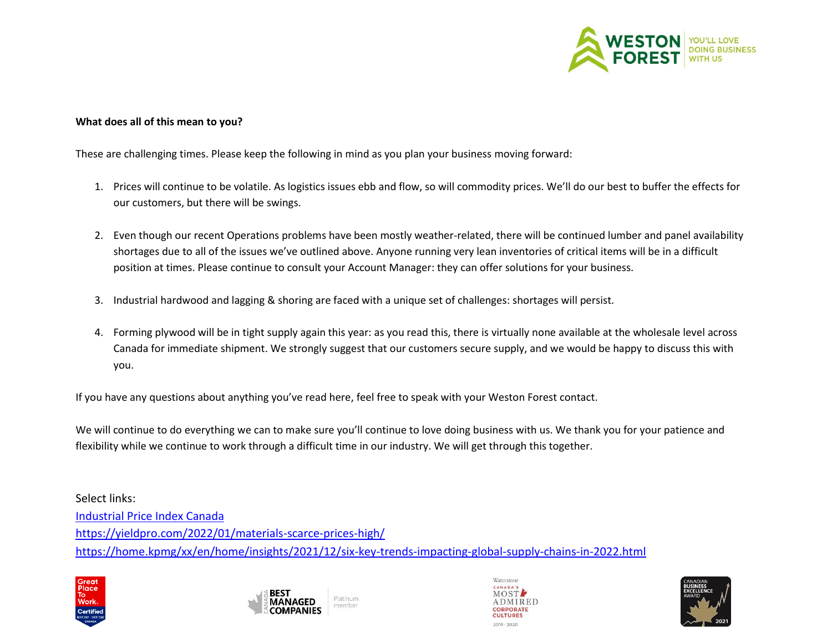

#### **What does all of this mean to you?**

These are challenging times. Please keep the following in mind as you plan your business moving forward:

- 1. Prices will continue to be volatile. As logistics issues ebb and flow, so will commodity prices. We'll do our best to buffer the effects for our customers, but there will be swings.
- 2. Even though our recent Operations problems have been mostly weather-related, there will be continued lumber and panel availability shortages due to all of the issues we've outlined above. Anyone running very lean inventories of critical items will be in a difficult position at times. Please continue to consult your Account Manager: they can offer solutions for your business.
- 3. Industrial hardwood and lagging & shoring are faced with a unique set of challenges: shortages will persist.
- 4. Forming plywood will be in tight supply again this year: as you read this, there is virtually none available at the wholesale level across Canada for immediate shipment. We strongly suggest that our customers secure supply, and we would be happy to discuss this with you.

If you have any questions about anything you've read here, feel free to speak with your Weston Forest contact.

We will continue to do everything we can to make sure you'll continue to love doing business with us. We thank you for your patience and flexibility while we continue to work through a difficult time in our industry. We will get through this together.

Select links: [Industrial Price Index Canada](https://www150.statcan.gc.ca/n1/pub/62f0014m/62f0014m2022002-eng.htm) <https://yieldpro.com/2022/01/materials-scarce-prices-high/> <https://home.kpmg/xx/en/home/insights/2021/12/six-key-trends-impacting-global-supply-chains-in-2022.html>







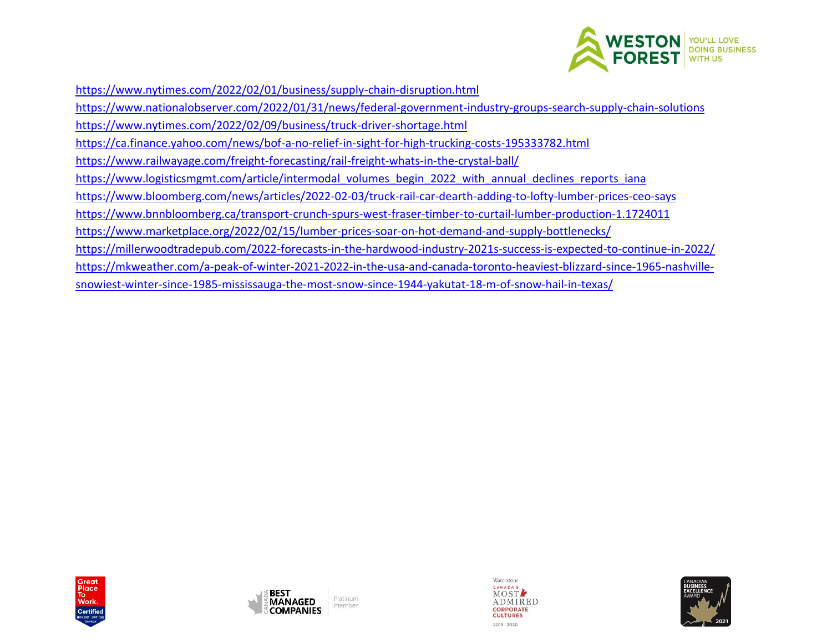

<https://www.nytimes.com/2022/02/01/business/supply-chain-disruption.html>

<https://www.nationalobserver.com/2022/01/31/news/federal-government-industry-groups-search-supply-chain-solutions> <https://www.nytimes.com/2022/02/09/business/truck-driver-shortage.html> <https://ca.finance.yahoo.com/news/bof-a-no-relief-in-sight-for-high-trucking-costs-195333782.html> <https://www.railwayage.com/freight-forecasting/rail-freight-whats-in-the-crystal-ball/> [https://www.logisticsmgmt.com/article/intermodal\\_volumes\\_begin\\_2022\\_with\\_annual\\_declines\\_reports\\_iana](https://www.logisticsmgmt.com/article/intermodal_volumes_begin_2022_with_annual_declines_reports_iana) <https://www.bloomberg.com/news/articles/2022-02-03/truck-rail-car-dearth-adding-to-lofty-lumber-prices-ceo-says> <https://www.bnnbloomberg.ca/transport-crunch-spurs-west-fraser-timber-to-curtail-lumber-production-1.1724011> <https://www.marketplace.org/2022/02/15/lumber-prices-soar-on-hot-demand-and-supply-bottlenecks/> <https://millerwoodtradepub.com/2022-forecasts-in-the-hardwood-industry-2021s-success-is-expected-to-continue-in-2022/> [https://mkweather.com/a-peak-of-winter-2021-2022-in-the-usa-and-canada-toronto-heaviest-blizzard-since-1965-nashville-](https://mkweather.com/a-peak-of-winter-2021-2022-in-the-usa-and-canada-toronto-heaviest-blizzard-since-1965-nashville-snowiest-winter-since-1985-mississauga-the-most-snow-since-1944-yakutat-18-m-of-snow-hail-in-texas/)









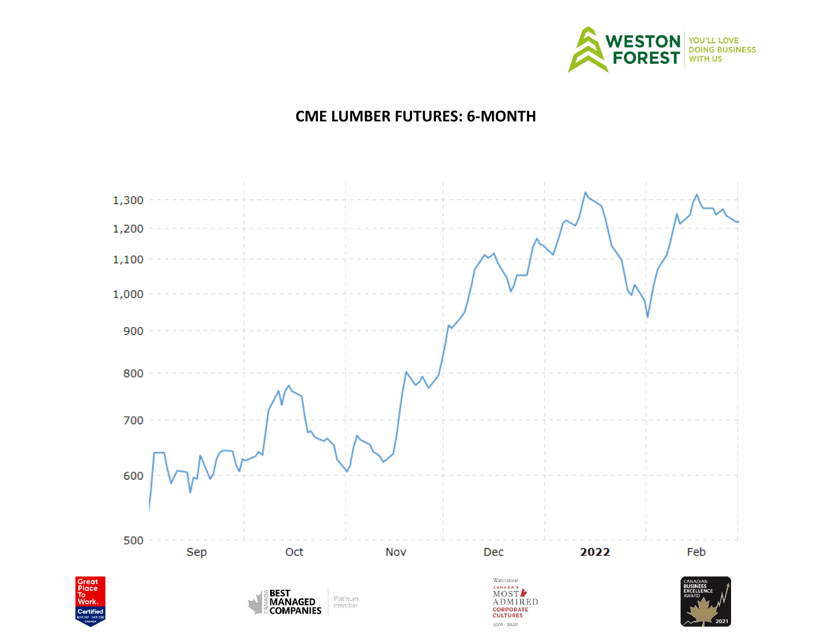

# **CME LUMBER FUTURES: 6-MONTH**

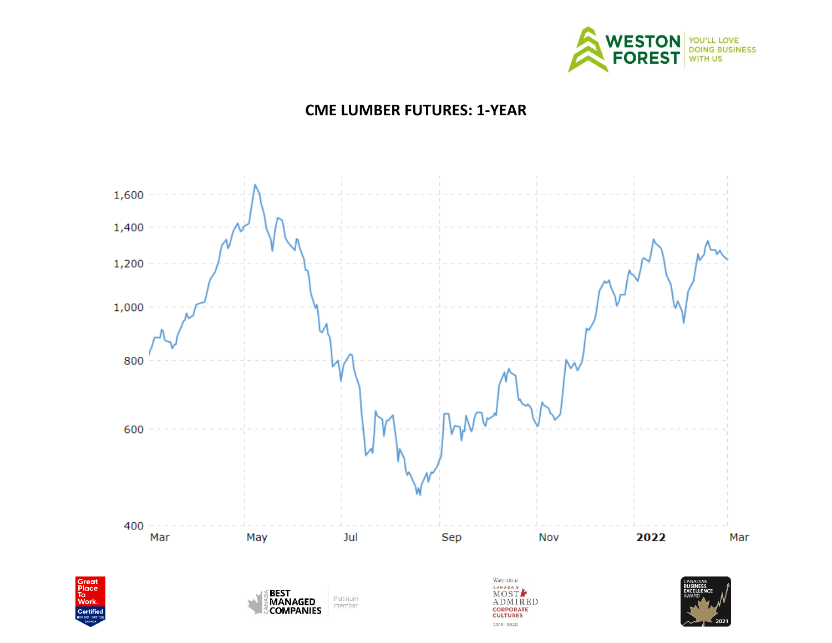

# **CME LUMBER FUTURES: 1-YEAR**

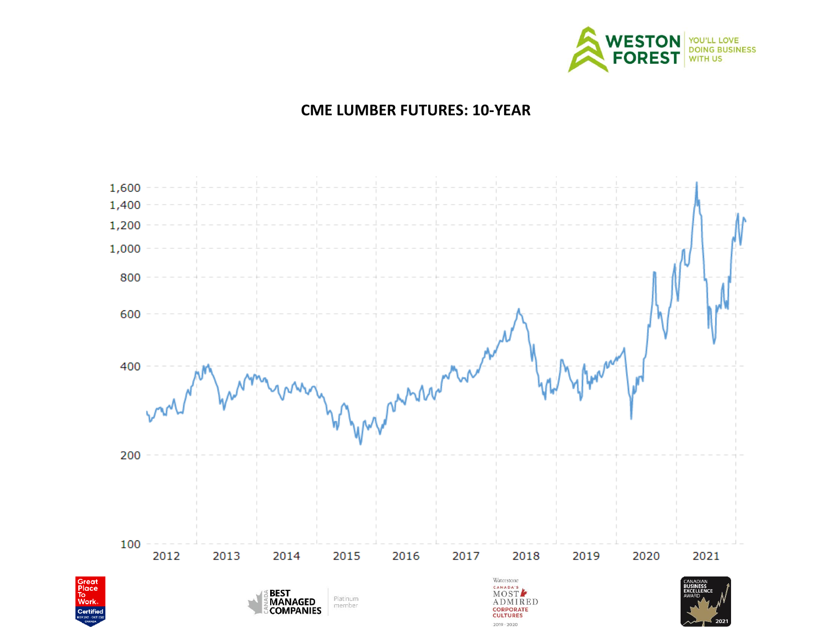

# **CME LUMBER FUTURES: 10-YEAR**

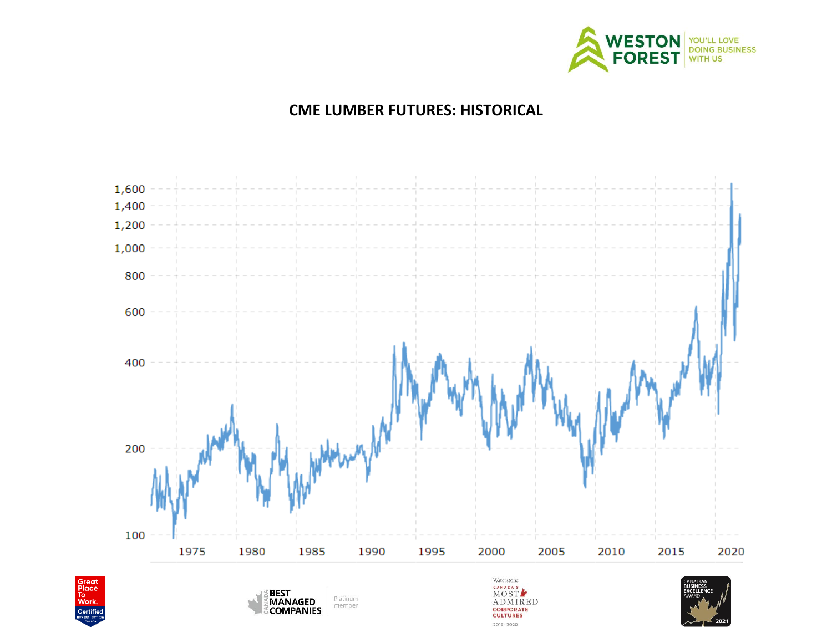

# **CME LUMBER FUTURES: HISTORICAL**

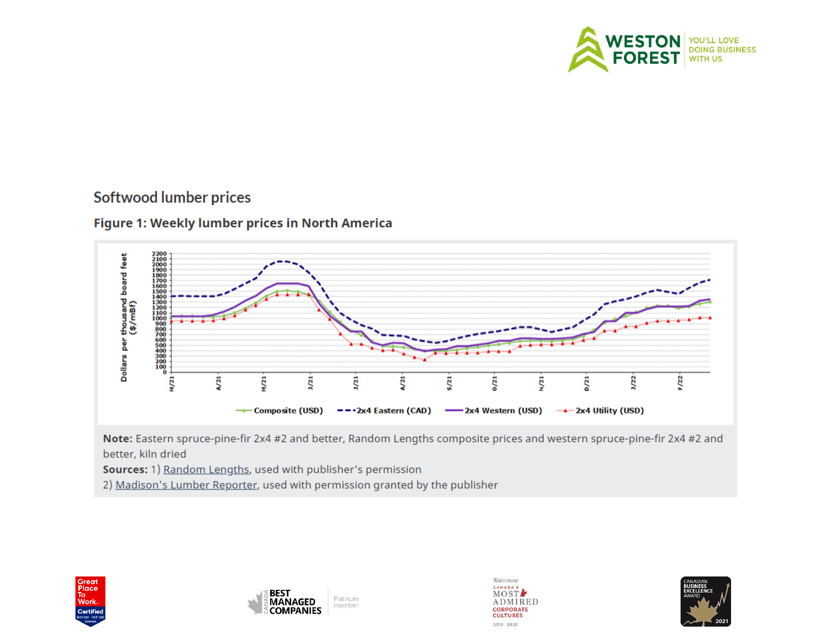

# **Softwood lumber prices**

### Figure 1: Weekly lumber prices in North America



Note: Eastern spruce-pine-fir 2x4 #2 and better, Random Lengths composite prices and western spruce-pine-fir 2x4 #2 and better, kiln dried

Sources: 1) Random Lengths, used with publisher's permission

2) Madison's Lumber Reporter, used with permission granted by the publisher

![](_page_9_Picture_7.jpeg)

![](_page_9_Picture_8.jpeg)

![](_page_9_Picture_9.jpeg)

![](_page_9_Picture_10.jpeg)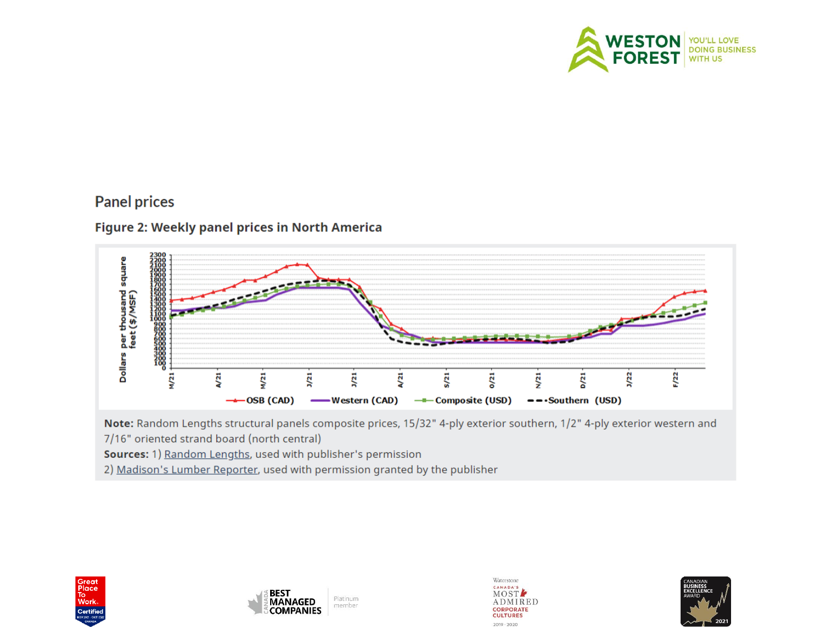![](_page_10_Picture_0.jpeg)

# **Panel prices**

### Figure 2: Weekly panel prices in North America

![](_page_10_Figure_3.jpeg)

Note: Random Lengths structural panels composite prices, 15/32" 4-ply exterior southern, 1/2" 4-ply exterior western and 7/16" oriented strand board (north central)

Sources: 1) Random Lengths, used with publisher's permission

2) Madison's Lumber Reporter, used with permission granted by the publisher

![](_page_10_Picture_7.jpeg)

![](_page_10_Picture_8.jpeg)

![](_page_10_Picture_9.jpeg)

![](_page_10_Picture_10.jpeg)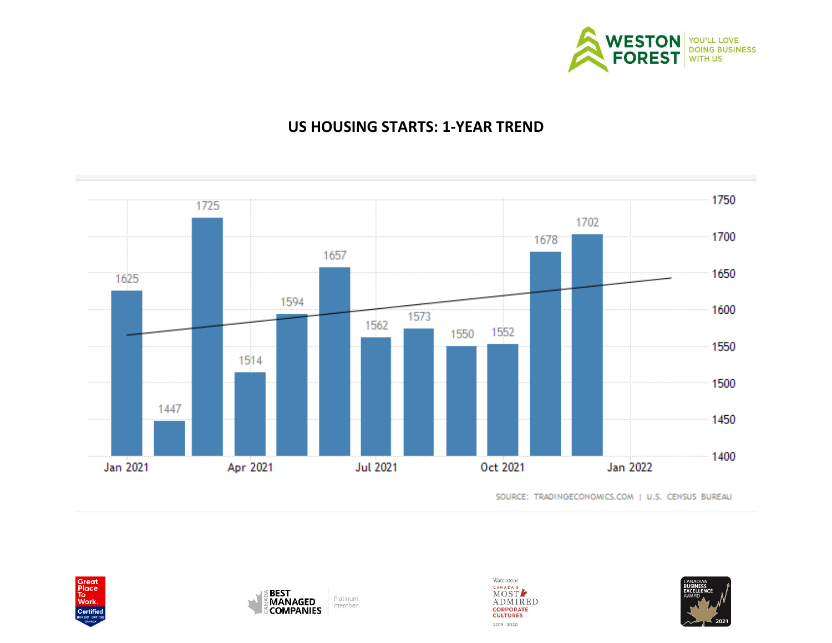![](_page_11_Picture_0.jpeg)

# **US HOUSING STARTS: 1-YEAR TREND**

![](_page_11_Figure_2.jpeg)

SOURCE: TRADINGECONOMICS.COM | U.S. CENSUS BUREAU

![](_page_11_Picture_4.jpeg)

![](_page_11_Picture_5.jpeg)

![](_page_11_Picture_6.jpeg)

![](_page_11_Picture_7.jpeg)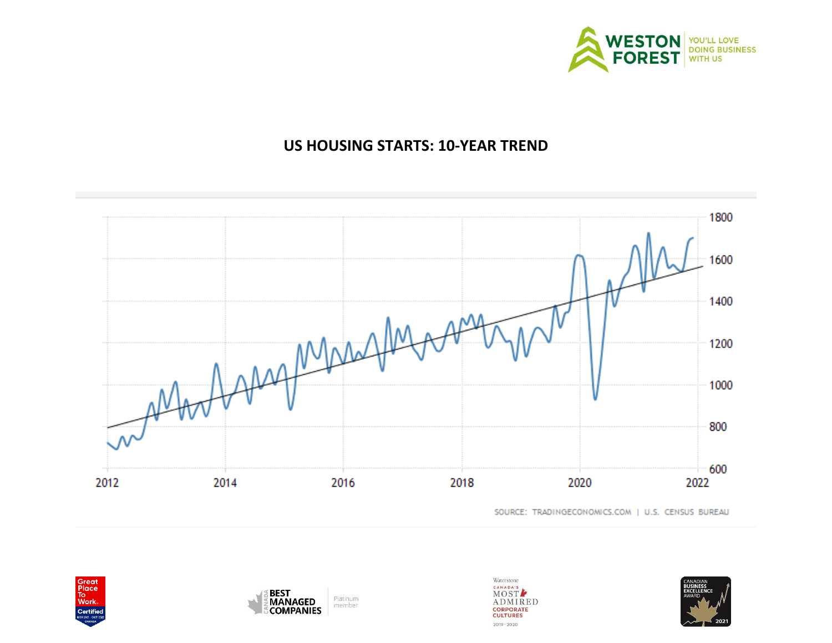![](_page_12_Picture_0.jpeg)

# **US HOUSING STARTS: 10-YEAR TREND**

![](_page_12_Figure_2.jpeg)

SOURCE: TRADINGECONOMICS.COM | U.S. CENSUS BUREAU

![](_page_12_Picture_4.jpeg)

![](_page_12_Picture_5.jpeg)

![](_page_12_Picture_6.jpeg)

![](_page_12_Picture_7.jpeg)